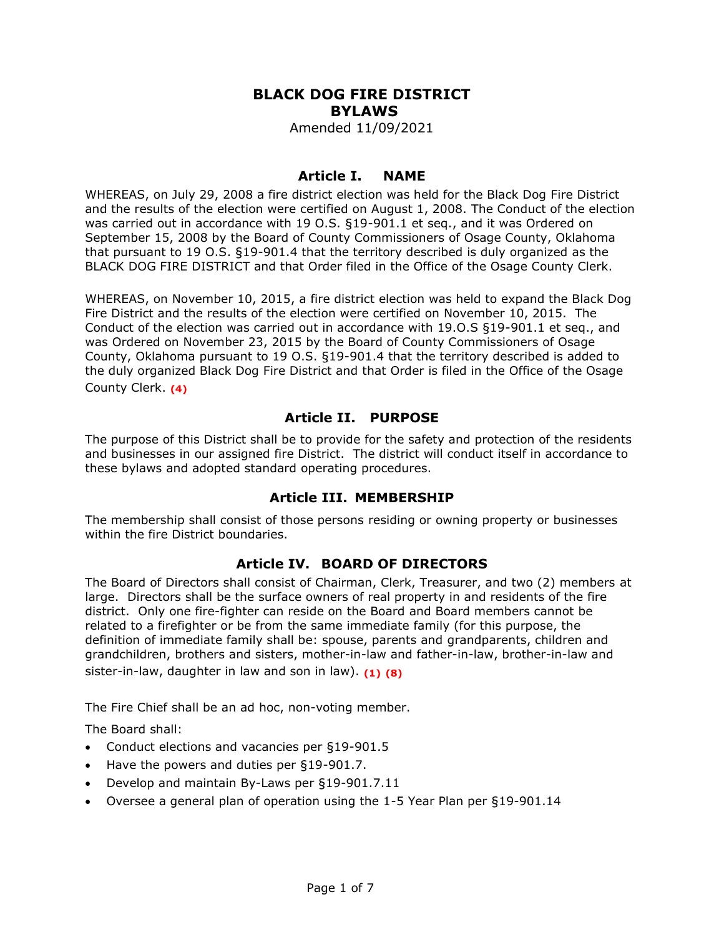# **BLACK DOG FIRE DISTRICT BYLAWS**

Amended 11/09/2021

#### **Article I. NAME**

WHEREAS, on July 29, 2008 a fire district election was held for the Black Dog Fire District and the results of the election were certified on August 1, 2008. The Conduct of the election was carried out in accordance with 19 O.S. §19-901.1 et seq., and it was Ordered on September 15, 2008 by the Board of County Commissioners of Osage County, Oklahoma that pursuant to 19 O.S. §19-901.4 that the territory described is duly organized as the BLACK DOG FIRE DISTRICT and that Order filed in the Office of the Osage County Clerk.

WHEREAS, on November 10, 2015, a fire district election was held to expand the Black Dog Fire District and the results of the election were certified on November 10, 2015. The Conduct of the election was carried out in accordance with 19.O.S §19-901.1 et seq., and was Ordered on November 23, 2015 by the Board of County Commissioners of Osage County, Oklahoma pursuant to 19 O.S. §19-901.4 that the territory described is added to the duly organized Black Dog Fire District and that Order is filed in the Office of the Osage County Clerk. **(4)**

## **Article II. PURPOSE**

The purpose of this District shall be to provide for the safety and protection of the residents and businesses in our assigned fire District. The district will conduct itself in accordance to these bylaws and adopted standard operating procedures.

#### **Article III. MEMBERSHIP**

The membership shall consist of those persons residing or owning property or businesses within the fire District boundaries.

#### **Article IV. BOARD OF DIRECTORS**

The Board of Directors shall consist of Chairman, Clerk, Treasurer, and two (2) members at large. Directors shall be the surface owners of real property in and residents of the fire district. Only one fire-fighter can reside on the Board and Board members cannot be related to a firefighter or be from the same immediate family (for this purpose, the definition of immediate family shall be: spouse, parents and grandparents, children and grandchildren, brothers and sisters, mother-in-law and father-in-law, brother-in-law and sister-in-law, daughter in law and son in law). **(1) (8)**

The Fire Chief shall be an ad hoc, non-voting member.

The Board shall:

- Conduct elections and vacancies per §19-901.5
- Have the powers and duties per §19-901.7.
- Develop and maintain By-Laws per §19-901.7.11
- Oversee a general plan of operation using the 1-5 Year Plan per §19-901.14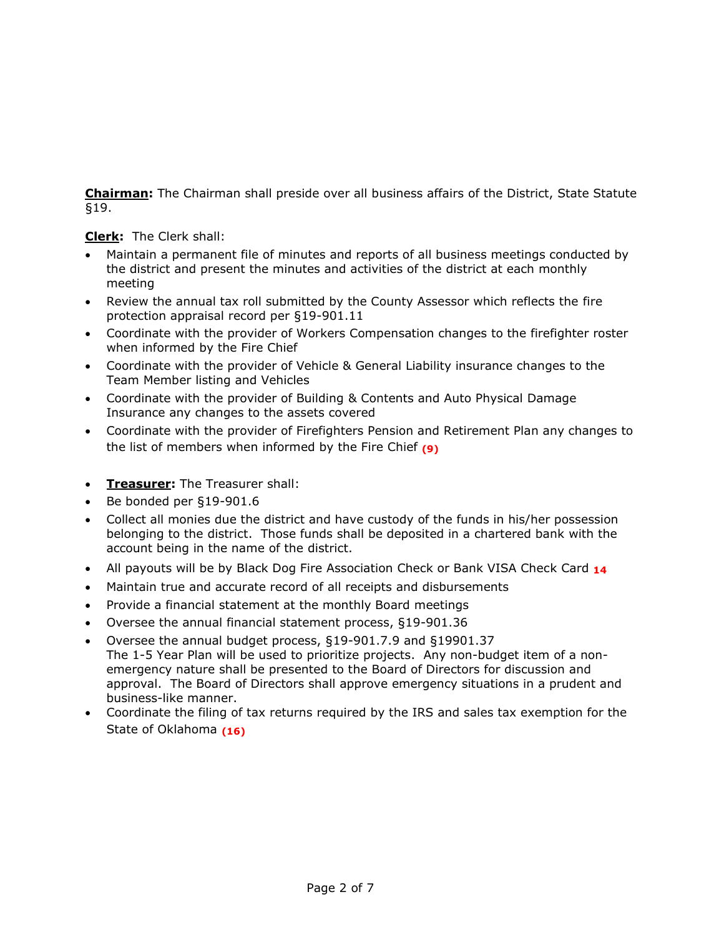**Chairman:** The Chairman shall preside over all business affairs of the District, State Statute §19.

**Clerk:** The Clerk shall:

- Maintain a permanent file of minutes and reports of all business meetings conducted by the district and present the minutes and activities of the district at each monthly meeting
- Review the annual tax roll submitted by the County Assessor which reflects the fire protection appraisal record per §19-901.11
- Coordinate with the provider of Workers Compensation changes to the firefighter roster when informed by the Fire Chief
- Coordinate with the provider of Vehicle & General Liability insurance changes to the Team Member listing and Vehicles
- Coordinate with the provider of Building & Contents and Auto Physical Damage Insurance any changes to the assets covered
- Coordinate with the provider of Firefighters Pension and Retirement Plan any changes to the list of members when informed by the Fire Chief **(9)**
- **Treasurer:** The Treasurer shall:
- Be bonded per §19-901.6
- Collect all monies due the district and have custody of the funds in his/her possession belonging to the district. Those funds shall be deposited in a chartered bank with the account being in the name of the district.
- All payouts will be by Black Dog Fire Association Check or Bank VISA Check Card **14**
- Maintain true and accurate record of all receipts and disbursements
- Provide a financial statement at the monthly Board meetings
- Oversee the annual financial statement process, §19-901.36
- Oversee the annual budget process, §19-901.7.9 and §19901.37 The 1-5 Year Plan will be used to prioritize projects. Any non-budget item of a nonemergency nature shall be presented to the Board of Directors for discussion and approval. The Board of Directors shall approve emergency situations in a prudent and business-like manner.
- Coordinate the filing of tax returns required by the IRS and sales tax exemption for the State of Oklahoma **(16)**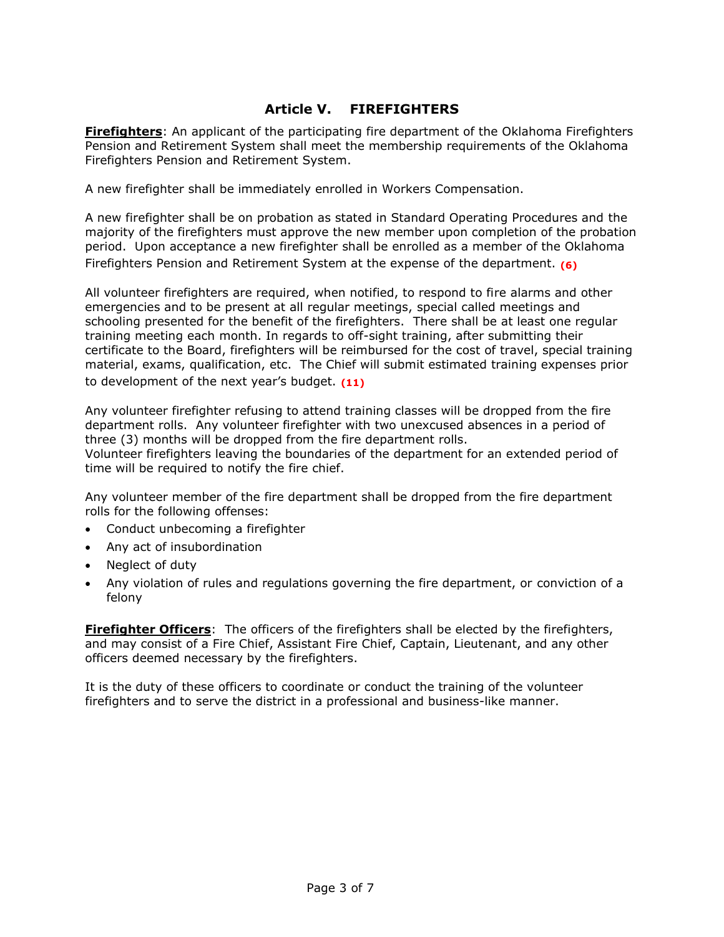## **Article V. FIREFIGHTERS**

**Firefighters**: An applicant of the participating fire department of the Oklahoma Firefighters Pension and Retirement System shall meet the membership requirements of the Oklahoma Firefighters Pension and Retirement System.

A new firefighter shall be immediately enrolled in Workers Compensation.

A new firefighter shall be on probation as stated in Standard Operating Procedures and the majority of the firefighters must approve the new member upon completion of the probation period. Upon acceptance a new firefighter shall be enrolled as a member of the Oklahoma Firefighters Pension and Retirement System at the expense of the department. **(6)**

All volunteer firefighters are required, when notified, to respond to fire alarms and other emergencies and to be present at all regular meetings, special called meetings and schooling presented for the benefit of the firefighters. There shall be at least one regular training meeting each month. In regards to off-sight training, after submitting their certificate to the Board, firefighters will be reimbursed for the cost of travel, special training material, exams, qualification, etc. The Chief will submit estimated training expenses prior to development of the next year's budget. **(11)**

Any volunteer firefighter refusing to attend training classes will be dropped from the fire department rolls. Any volunteer firefighter with two unexcused absences in a period of three (3) months will be dropped from the fire department rolls.

Volunteer firefighters leaving the boundaries of the department for an extended period of time will be required to notify the fire chief.

Any volunteer member of the fire department shall be dropped from the fire department rolls for the following offenses:

- Conduct unbecoming a firefighter
- Any act of insubordination
- Neglect of duty
- Any violation of rules and regulations governing the fire department, or conviction of a felony

**Firefighter Officers**: The officers of the firefighters shall be elected by the firefighters, and may consist of a Fire Chief, Assistant Fire Chief, Captain, Lieutenant, and any other officers deemed necessary by the firefighters.

It is the duty of these officers to coordinate or conduct the training of the volunteer firefighters and to serve the district in a professional and business-like manner.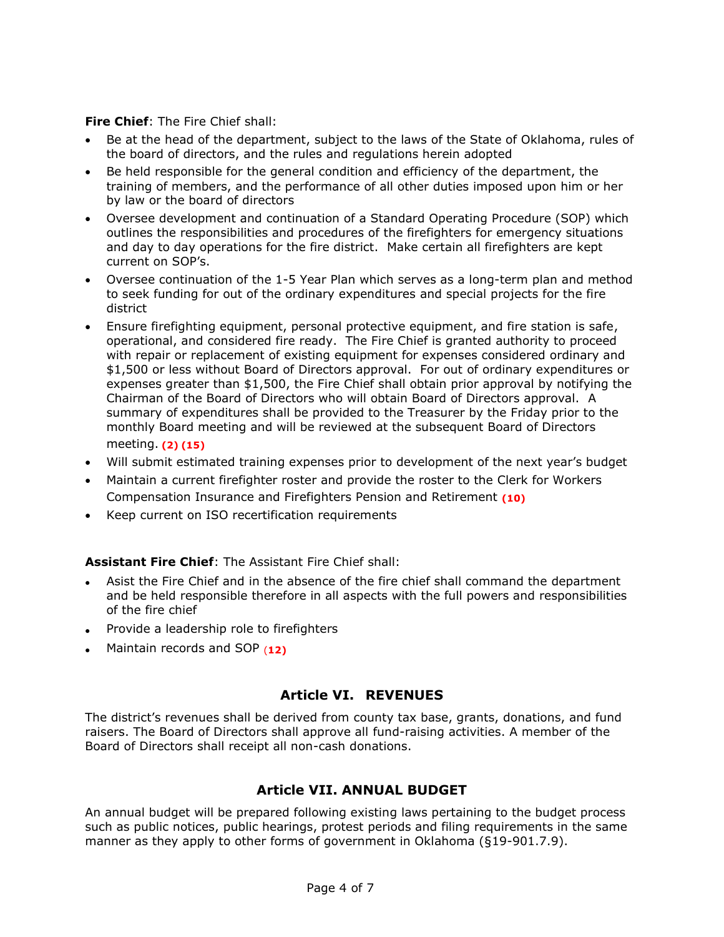**Fire Chief**: The Fire Chief shall:

- Be at the head of the department, subject to the laws of the State of Oklahoma, rules of the board of directors, and the rules and regulations herein adopted
- Be held responsible for the general condition and efficiency of the department, the training of members, and the performance of all other duties imposed upon him or her by law or the board of directors
- Oversee development and continuation of a Standard Operating Procedure (SOP) which outlines the responsibilities and procedures of the firefighters for emergency situations and day to day operations for the fire district. Make certain all firefighters are kept current on SOP's.
- Oversee continuation of the 1-5 Year Plan which serves as a long-term plan and method to seek funding for out of the ordinary expenditures and special projects for the fire district
- Ensure firefighting equipment, personal protective equipment, and fire station is safe, operational, and considered fire ready. The Fire Chief is granted authority to proceed with repair or replacement of existing equipment for expenses considered ordinary and \$1,500 or less without Board of Directors approval. For out of ordinary expenditures or expenses greater than \$1,500, the Fire Chief shall obtain prior approval by notifying the Chairman of the Board of Directors who will obtain Board of Directors approval. A summary of expenditures shall be provided to the Treasurer by the Friday prior to the monthly Board meeting and will be reviewed at the subsequent Board of Directors meeting. **(2) (15)**
- Will submit estimated training expenses prior to development of the next year's budget
- Maintain a current firefighter roster and provide the roster to the Clerk for Workers Compensation Insurance and Firefighters Pension and Retirement **(10)**
- Keep current on ISO recertification requirements

#### **Assistant Fire Chief**: The Assistant Fire Chief shall:

- Asist the Fire Chief and in the absence of the fire chief shall command the department and be held responsible therefore in all aspects with the full powers and responsibilities of the fire chief
- Provide a leadership role to firefighters
- Maintain records and SOP (**12)**

## **Article VI. REVENUES**

The district's revenues shall be derived from county tax base, grants, donations, and fund raisers. The Board of Directors shall approve all fund-raising activities. A member of the Board of Directors shall receipt all non-cash donations.

#### **Article VII. ANNUAL BUDGET**

An annual budget will be prepared following existing laws pertaining to the budget process such as public notices, public hearings, protest periods and filing requirements in the same manner as they apply to other forms of government in Oklahoma (§19-901.7.9).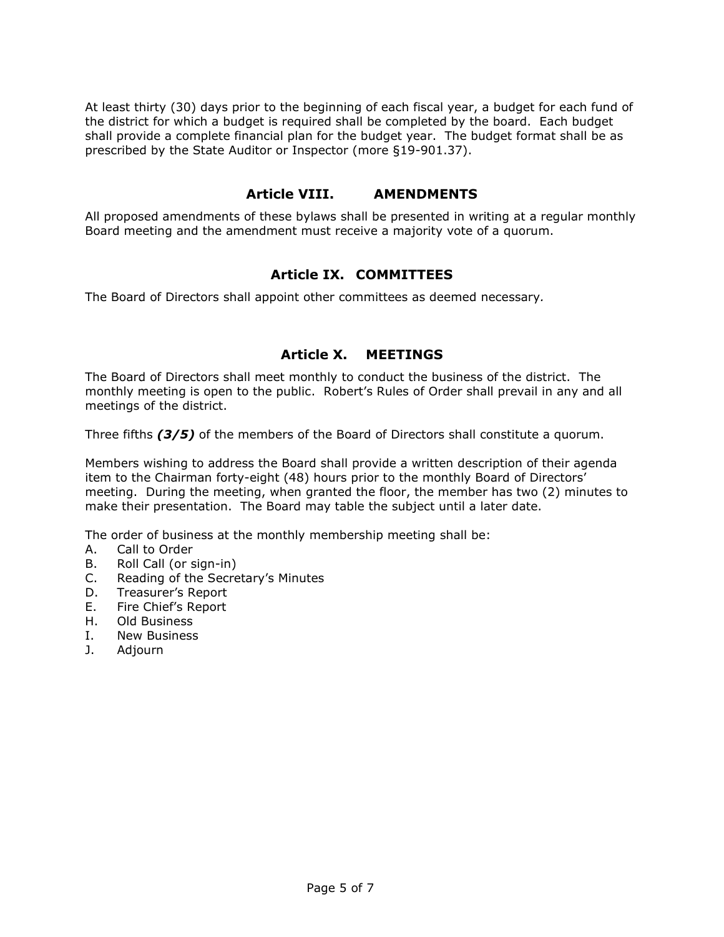At least thirty (30) days prior to the beginning of each fiscal year, a budget for each fund of the district for which a budget is required shall be completed by the board. Each budget shall provide a complete financial plan for the budget year. The budget format shall be as prescribed by the State Auditor or Inspector (more §19-901.37).

#### **Article VIII. AMENDMENTS**

All proposed amendments of these bylaws shall be presented in writing at a regular monthly Board meeting and the amendment must receive a majority vote of a quorum.

#### **Article IX. COMMITTEES**

The Board of Directors shall appoint other committees as deemed necessary*.*

## **Article X. MEETINGS**

The Board of Directors shall meet monthly to conduct the business of the district. The monthly meeting is open to the public. Robert's Rules of Order shall prevail in any and all meetings of the district.

Three fifths *(3/5)* of the members of the Board of Directors shall constitute a quorum.

Members wishing to address the Board shall provide a written description of their agenda item to the Chairman forty-eight (48) hours prior to the monthly Board of Directors' meeting. During the meeting, when granted the floor, the member has two (2) minutes to make their presentation. The Board may table the subject until a later date.

The order of business at the monthly membership meeting shall be:

- A. Call to Order
- B. Roll Call (or sign-in)
- C. Reading of the Secretary's Minutes
- D. Treasurer's Report
- E. Fire Chief's Report
- H. Old Business
- I. New Business
- J. Adjourn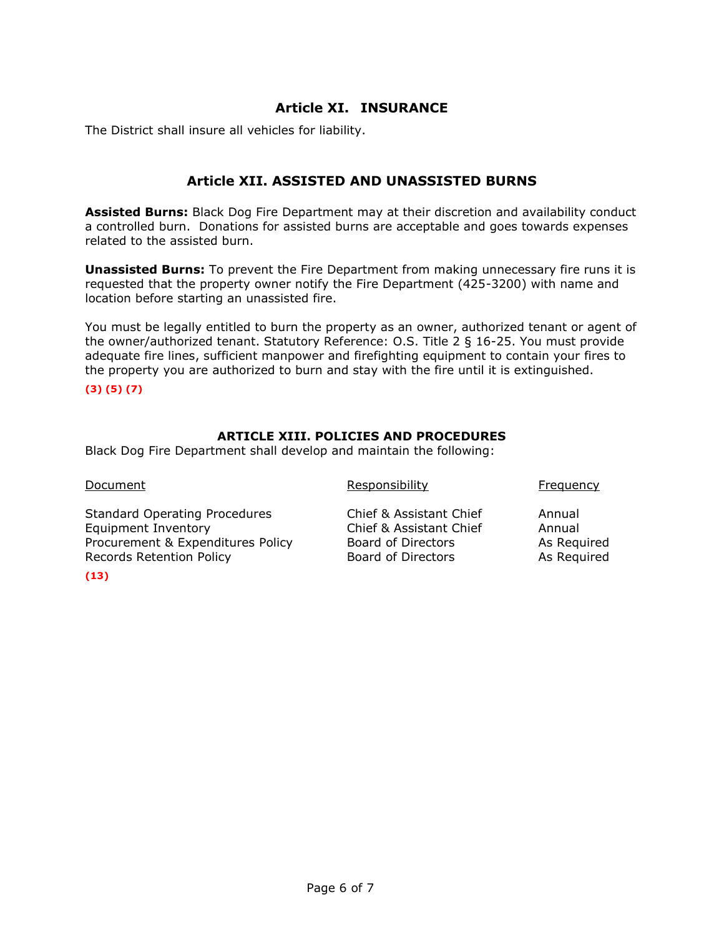## **Article XI. INSURANCE**

The District shall insure all vehicles for liability.

## **Article XII. ASSISTED AND UNASSISTED BURNS**

**Assisted Burns:** Black Dog Fire Department may at their discretion and availability conduct a controlled burn. Donations for assisted burns are acceptable and goes towards expenses related to the assisted burn.

**Unassisted Burns:** To prevent the Fire Department from making unnecessary fire runs it is requested that the property owner notify the Fire Department (425-3200) with name and location before starting an unassisted fire.

You must be legally entitled to burn the property as an owner, authorized tenant or agent of the owner/authorized tenant. Statutory Reference: O.S. Title 2 § 16-25. You must provide adequate fire lines, sufficient manpower and firefighting equipment to contain your fires to the property you are authorized to burn and stay with the fire until it is extinguished.

**(3) (5) (7)**

#### **ARTICLE XIII. POLICIES AND PROCEDURES**

Black Dog Fire Department shall develop and maintain the following:

Document **Example 2** Construction Responsibility **Frequency** Frequency

Standard Operating Procedures Chief & Assistant Chief Annual Equipment Inventory Chief & Assistant Chief Annual Procurement & Expenditures Policy Board of Directors As Required Records Retention Policy **Board of Directors** As Required

**(13)**